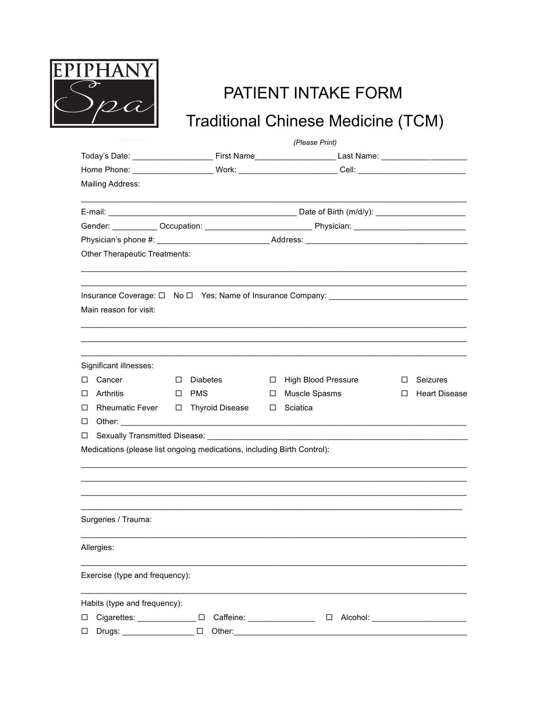

## PATIENT INTAKE FORM

## Traditional Chinese Medicine (TCM)

|                                                                               | (Please Print) |                                                             |    |                                                                                                                                                                                                                                |    |                      |  |  |  |  |  |
|-------------------------------------------------------------------------------|----------------|-------------------------------------------------------------|----|--------------------------------------------------------------------------------------------------------------------------------------------------------------------------------------------------------------------------------|----|----------------------|--|--|--|--|--|
|                                                                               |                |                                                             |    |                                                                                                                                                                                                                                |    |                      |  |  |  |  |  |
|                                                                               |                |                                                             |    |                                                                                                                                                                                                                                |    |                      |  |  |  |  |  |
| Mailing Address:                                                              |                |                                                             |    |                                                                                                                                                                                                                                |    |                      |  |  |  |  |  |
|                                                                               |                | the control of the control of the control of the control of |    |                                                                                                                                                                                                                                |    |                      |  |  |  |  |  |
|                                                                               |                |                                                             |    | Gender: Occupation: Contact Physician: Contact Physician:                                                                                                                                                                      |    |                      |  |  |  |  |  |
|                                                                               |                |                                                             |    | Physician's phone #: example and a set of Address: Address: example and a set of the set of the set of the set of the set of the set of the set of the set of the set of the set of the set of the set of the set of the set o |    |                      |  |  |  |  |  |
| Other Therapeutic Treatments:                                                 |                |                                                             |    |                                                                                                                                                                                                                                |    |                      |  |  |  |  |  |
| Main reason for visit:                                                        |                |                                                             |    |                                                                                                                                                                                                                                |    |                      |  |  |  |  |  |
| Significant illnesses:                                                        |                |                                                             |    |                                                                                                                                                                                                                                |    |                      |  |  |  |  |  |
| □ Cancer                                                                      | п.             | <b>Diabetes</b>                                             | п. | <b>High Blood Pressure</b>                                                                                                                                                                                                     | п. | Seizures             |  |  |  |  |  |
| $\Box$ Arthritis<br>□ Rheumatic Fever                                         | $\Box$ PMS     | □ Thyroid Disease                                           | п. | Muscle Spasms<br>$\Box$ Sciatica                                                                                                                                                                                               | п. | <b>Heart Disease</b> |  |  |  |  |  |
| $\Box$ Other:                                                                 |                |                                                             |    |                                                                                                                                                                                                                                |    |                      |  |  |  |  |  |
| □ Sexually Transmitted Disease:                                               |                |                                                             |    |                                                                                                                                                                                                                                |    |                      |  |  |  |  |  |
| Medications (please list ongoing medications, including Birth Control):       |                |                                                             |    |                                                                                                                                                                                                                                |    |                      |  |  |  |  |  |
|                                                                               |                |                                                             |    |                                                                                                                                                                                                                                |    |                      |  |  |  |  |  |
| Surgeries / Trauma:                                                           |                |                                                             |    |                                                                                                                                                                                                                                |    |                      |  |  |  |  |  |
| Allergies:                                                                    |                |                                                             |    |                                                                                                                                                                                                                                |    |                      |  |  |  |  |  |
| Exercise (type and frequency):                                                |                |                                                             |    |                                                                                                                                                                                                                                |    |                      |  |  |  |  |  |
| Habits (type and frequency):<br>D Cigarettes: D Caffeine:<br>$\square$ Drugs: |                | $\square$ Other:                                            |    |                                                                                                                                                                                                                                |    |                      |  |  |  |  |  |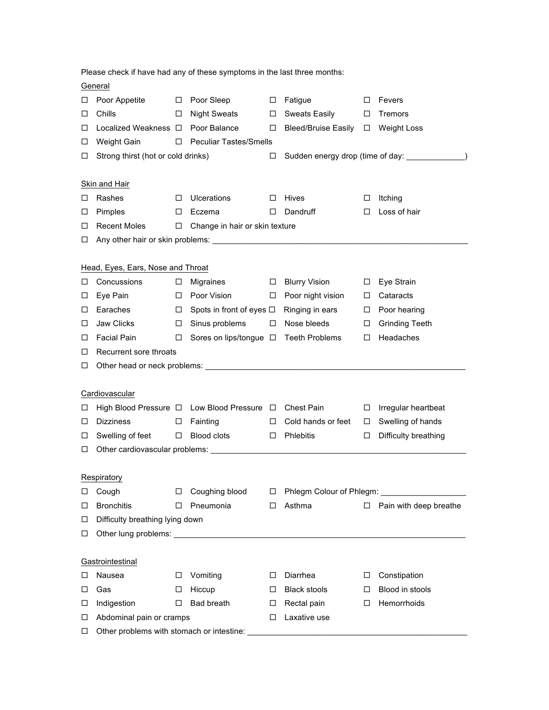| Please check if have had any of these symptoms in the last three months: |                                                                                                                                                                                                                                      |        |                                 |                                |                                                  |        |                        |  |  |
|--------------------------------------------------------------------------|--------------------------------------------------------------------------------------------------------------------------------------------------------------------------------------------------------------------------------------|--------|---------------------------------|--------------------------------|--------------------------------------------------|--------|------------------------|--|--|
|                                                                          | General                                                                                                                                                                                                                              |        |                                 |                                |                                                  |        |                        |  |  |
| ⊔                                                                        | Poor Appetite                                                                                                                                                                                                                        | $\Box$ | Poor Sleep                      | $\Box$                         | Fatigue                                          | □      | Fevers                 |  |  |
| □                                                                        | Chills                                                                                                                                                                                                                               | □      | <b>Night Sweats</b>             | $\Box$                         | <b>Sweats Easily</b>                             | □      | Tremors                |  |  |
| □                                                                        | Localized Weakness □                                                                                                                                                                                                                 |        | Poor Balance                    | $\Box$                         | <b>Bleed/Bruise Easily</b>                       | $\Box$ | <b>Weight Loss</b>     |  |  |
| □                                                                        | Weight Gain                                                                                                                                                                                                                          | □      | <b>Peculiar Tastes/Smells</b>   |                                |                                                  |        |                        |  |  |
| □                                                                        | Strong thirst (hot or cold drinks)                                                                                                                                                                                                   |        |                                 | □                              | Sudden energy drop (time of day: ______________) |        |                        |  |  |
|                                                                          |                                                                                                                                                                                                                                      |        |                                 |                                |                                                  |        |                        |  |  |
|                                                                          | <b>Skin and Hair</b>                                                                                                                                                                                                                 |        |                                 |                                |                                                  |        |                        |  |  |
| ப                                                                        | Rashes                                                                                                                                                                                                                               | □      | <b>Ulcerations</b>              | □                              | Hives                                            | □      | Itching                |  |  |
| ப                                                                        | Pimples                                                                                                                                                                                                                              | □      | Eczema                          | □                              | Dandruff                                         | □      | Loss of hair           |  |  |
| □                                                                        | <b>Recent Moles</b>                                                                                                                                                                                                                  | □      |                                 | Change in hair or skin texture |                                                  |        |                        |  |  |
| □                                                                        |                                                                                                                                                                                                                                      |        |                                 |                                |                                                  |        |                        |  |  |
|                                                                          |                                                                                                                                                                                                                                      |        |                                 |                                |                                                  |        |                        |  |  |
|                                                                          | Head, Eyes, Ears, Nose and Throat                                                                                                                                                                                                    |        |                                 |                                |                                                  |        |                        |  |  |
| ப                                                                        | Concussions                                                                                                                                                                                                                          | □      | <b>Migraines</b>                | $\Box$                         | <b>Blurry Vision</b>                             | $\Box$ | Eye Strain             |  |  |
| □                                                                        | Eye Pain                                                                                                                                                                                                                             | □      | Poor Vision                     | $\Box$                         | Poor night vision                                | ◻      | Cataracts              |  |  |
| ⊔                                                                        | Earaches                                                                                                                                                                                                                             | □      | Spots in front of eyes $\Box$   |                                | Ringing in ears                                  | $\Box$ | Poor hearing           |  |  |
| □                                                                        | Jaw Clicks                                                                                                                                                                                                                           | □      | Sinus problems                  | □                              | Nose bleeds                                      | □      | <b>Grinding Teeth</b>  |  |  |
| □                                                                        | <b>Facial Pain</b>                                                                                                                                                                                                                   | ◻      | Sores on lips/tongue □          |                                | <b>Teeth Problems</b>                            | □      | Headaches              |  |  |
| □                                                                        | Recurrent sore throats                                                                                                                                                                                                               |        |                                 |                                |                                                  |        |                        |  |  |
| □                                                                        |                                                                                                                                                                                                                                      |        |                                 |                                |                                                  |        |                        |  |  |
|                                                                          |                                                                                                                                                                                                                                      |        |                                 |                                |                                                  |        |                        |  |  |
|                                                                          | Cardiovascular                                                                                                                                                                                                                       |        |                                 |                                |                                                  |        |                        |  |  |
| ⊔                                                                        | High Blood Pressure □                                                                                                                                                                                                                |        | Low Blood Pressure □ Chest Pain |                                |                                                  | □      | Irregular heartbeat    |  |  |
| □                                                                        | <b>Dizziness</b>                                                                                                                                                                                                                     | ⊔      | Fainting                        | □                              | Cold hands or feet                               | $\Box$ | Swelling of hands      |  |  |
| □                                                                        | Swelling of feet                                                                                                                                                                                                                     | $\Box$ | Blood clots                     | $\Box$                         | Phlebitis                                        | $\Box$ | Difficulty breathing   |  |  |
| □                                                                        |                                                                                                                                                                                                                                      |        |                                 |                                |                                                  |        |                        |  |  |
|                                                                          |                                                                                                                                                                                                                                      |        |                                 |                                |                                                  |        |                        |  |  |
|                                                                          | Respiratory                                                                                                                                                                                                                          |        |                                 |                                |                                                  |        |                        |  |  |
| ⊔                                                                        | Cough                                                                                                                                                                                                                                | □      | Coughing blood                  | □                              |                                                  |        |                        |  |  |
| □                                                                        | <b>Bronchitis</b>                                                                                                                                                                                                                    | □      | Pneumonia                       | □                              | Asthma                                           | □      | Pain with deep breathe |  |  |
| ⊔                                                                        | Difficulty breathing lying down                                                                                                                                                                                                      |        |                                 |                                |                                                  |        |                        |  |  |
| □                                                                        |                                                                                                                                                                                                                                      |        |                                 |                                |                                                  |        |                        |  |  |
|                                                                          |                                                                                                                                                                                                                                      |        |                                 |                                |                                                  |        |                        |  |  |
|                                                                          | Gastrointestinal                                                                                                                                                                                                                     |        |                                 |                                |                                                  |        |                        |  |  |
| ப                                                                        | Nausea                                                                                                                                                                                                                               | □      | Vomiting                        | □                              | Diarrhea                                         | □      | Constipation           |  |  |
| ⊔                                                                        | Gas                                                                                                                                                                                                                                  | □      | Hiccup                          | □                              | <b>Black stools</b>                              | □      | Blood in stools        |  |  |
| ⊔                                                                        | Indigestion                                                                                                                                                                                                                          | □      | Bad breath                      | □                              | Rectal pain                                      | □      | Hemorrhoids            |  |  |
| ⊔                                                                        | Laxative use<br>Abdominal pain or cramps<br>□                                                                                                                                                                                        |        |                                 |                                |                                                  |        |                        |  |  |
| □                                                                        | Other problems with stomach or intestine: <b>contained a structure of the structure of the structure of the structure of the structure of the structure of the structure of the structure of the structure of the structure of t</b> |        |                                 |                                |                                                  |        |                        |  |  |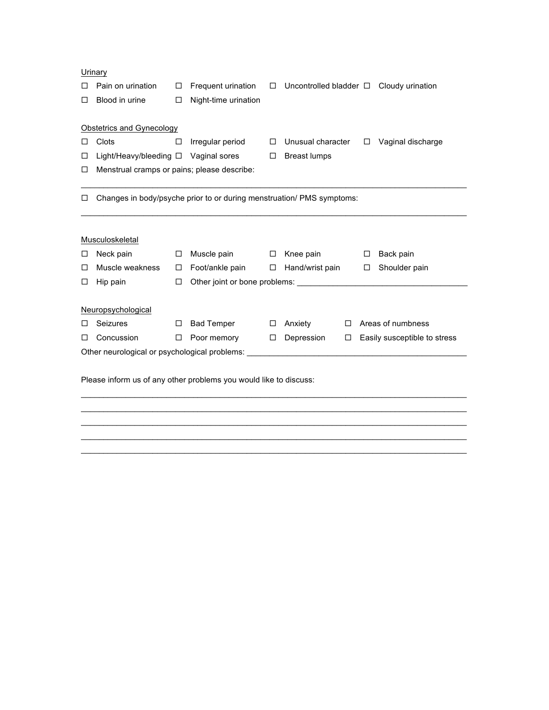|                                                                                  | Urinary                                     |        |                                                                       |        |                     |        |                                     |                                              |  |
|----------------------------------------------------------------------------------|---------------------------------------------|--------|-----------------------------------------------------------------------|--------|---------------------|--------|-------------------------------------|----------------------------------------------|--|
|                                                                                  | Pain on urination                           | □      | Frequent urination                                                    | □      |                     |        |                                     | Uncontrolled bladder $\Box$ Cloudy urination |  |
| п                                                                                | Blood in urine                              | □      | Night-time urination                                                  |        |                     |        |                                     |                                              |  |
|                                                                                  |                                             |        |                                                                       |        |                     |        |                                     |                                              |  |
|                                                                                  | Obstetrics and Gynecology                   |        |                                                                       |        |                     |        |                                     |                                              |  |
| П                                                                                | Clots                                       | □      | Irregular period                                                      | $\Box$ | Unusual character   |        | $\Box$                              | Vaginal discharge                            |  |
| □                                                                                |                                             |        | Light/Heavy/bleeding $\Box$ Vaginal sores                             | $\Box$ | <b>Breast lumps</b> |        |                                     |                                              |  |
| □                                                                                | Menstrual cramps or pains; please describe: |        |                                                                       |        |                     |        |                                     |                                              |  |
|                                                                                  |                                             |        |                                                                       |        |                     |        |                                     |                                              |  |
| ⊔                                                                                |                                             |        | Changes in body/psyche prior to or during menstruation/ PMS symptoms: |        |                     |        |                                     |                                              |  |
|                                                                                  |                                             |        |                                                                       |        |                     |        |                                     |                                              |  |
|                                                                                  |                                             |        |                                                                       |        |                     |        |                                     |                                              |  |
|                                                                                  | Musculoskeletal                             |        |                                                                       |        |                     |        |                                     |                                              |  |
| ப                                                                                | Neck pain                                   | □      | Muscle pain $\Box$                                                    |        | Knee pain           |        | □                                   | Back pain                                    |  |
| □                                                                                | Muscle weakness                             | □      | Foot/ankle pain                                                       | $\Box$ | Hand/wrist pain     |        | $\Box$                              | Shoulder pain                                |  |
| □                                                                                | Hip pain                                    | □      |                                                                       |        |                     |        |                                     |                                              |  |
|                                                                                  |                                             |        |                                                                       |        |                     |        |                                     |                                              |  |
|                                                                                  | Neuropsychological                          |        |                                                                       |        |                     |        |                                     |                                              |  |
|                                                                                  | <b>Seizures</b>                             | □      | <b>Bad Temper</b>                                                     | □      | Anxiety             | $\Box$ | Areas of numbness                   |                                              |  |
| □                                                                                | Concussion                                  | $\Box$ | Poor memory                                                           | $\Box$ | Depression          |        | $\Box$ Easily susceptible to stress |                                              |  |
| Other neurological or psychological problems: __________________________________ |                                             |        |                                                                       |        |                     |        |                                     |                                              |  |
|                                                                                  |                                             |        |                                                                       |        |                     |        |                                     |                                              |  |
| Please inform us of any other problems you would like to discuss:                |                                             |        |                                                                       |        |                     |        |                                     |                                              |  |
|                                                                                  |                                             |        |                                                                       |        |                     |        |                                     |                                              |  |
|                                                                                  |                                             |        |                                                                       |        |                     |        |                                     |                                              |  |

 $\mathcal{L}_\mathcal{L} = \{ \mathcal{L}_\mathcal{L} = \{ \mathcal{L}_\mathcal{L} = \{ \mathcal{L}_\mathcal{L} = \{ \mathcal{L}_\mathcal{L} = \{ \mathcal{L}_\mathcal{L} = \{ \mathcal{L}_\mathcal{L} = \{ \mathcal{L}_\mathcal{L} = \{ \mathcal{L}_\mathcal{L} = \{ \mathcal{L}_\mathcal{L} = \{ \mathcal{L}_\mathcal{L} = \{ \mathcal{L}_\mathcal{L} = \{ \mathcal{L}_\mathcal{L} = \{ \mathcal{L}_\mathcal{L} = \{ \mathcal{L}_\mathcal{$  $\mathcal{L}_\mathcal{L} = \{ \mathcal{L}_\mathcal{L} = \{ \mathcal{L}_\mathcal{L} = \{ \mathcal{L}_\mathcal{L} = \{ \mathcal{L}_\mathcal{L} = \{ \mathcal{L}_\mathcal{L} = \{ \mathcal{L}_\mathcal{L} = \{ \mathcal{L}_\mathcal{L} = \{ \mathcal{L}_\mathcal{L} = \{ \mathcal{L}_\mathcal{L} = \{ \mathcal{L}_\mathcal{L} = \{ \mathcal{L}_\mathcal{L} = \{ \mathcal{L}_\mathcal{L} = \{ \mathcal{L}_\mathcal{L} = \{ \mathcal{L}_\mathcal{$  $\mathcal{L}_\mathcal{L} = \{ \mathcal{L}_\mathcal{L} = \{ \mathcal{L}_\mathcal{L} = \{ \mathcal{L}_\mathcal{L} = \{ \mathcal{L}_\mathcal{L} = \{ \mathcal{L}_\mathcal{L} = \{ \mathcal{L}_\mathcal{L} = \{ \mathcal{L}_\mathcal{L} = \{ \mathcal{L}_\mathcal{L} = \{ \mathcal{L}_\mathcal{L} = \{ \mathcal{L}_\mathcal{L} = \{ \mathcal{L}_\mathcal{L} = \{ \mathcal{L}_\mathcal{L} = \{ \mathcal{L}_\mathcal{L} = \{ \mathcal{L}_\mathcal{$